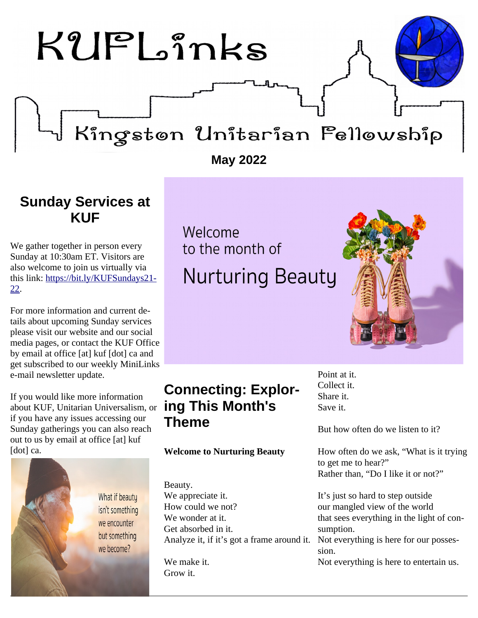

### <span id="page-0-1"></span>**Sunday Services at KUF**

We gather together in person every Sunday at 10:30am ET. Visitors are also welcome to join us virtually via this link: [https://bit.ly/KUFSundays21-](https://bit.ly/KUFSundays21-22) [22.](https://bit.ly/KUFSundays21-22)

For more information and current details about upcoming Sunday services please visit our website and our social media pages, or contact the KUF Office by email at office [at] kuf [dot] ca and get subscribed to our weekly MiniLinks e-mail newsletter update.

If you would like more information about KUF, Unitarian Universalism, or if you have any issues accessing our Sunday gatherings you can also reach out to us by email at office [at] kuf [dot] ca.

> What if beauty isn't something we encounter but something we become?

# Welcome to the month of **Nurturing Beauty**

### <span id="page-0-0"></span>**Connecting: Exploring This Month's Theme**

### **Welcome to Nurturing Beauty**

Beauty. We appreciate it. How could we not? We wonder at it. Get absorbed in it. Analyze it, if it's got a frame around it.

We make it. Grow it.

Point at it. Collect it. Share it. Save it.

But how often do we listen to it?

How often do we ask, "What is it trying to get me to hear?" Rather than, "Do I like it or not?"

It's just so hard to step outside our mangled view of the world that sees everything in the light of consumption. Not everything is here for our posses-

sion.

Not everything is here to entertain us.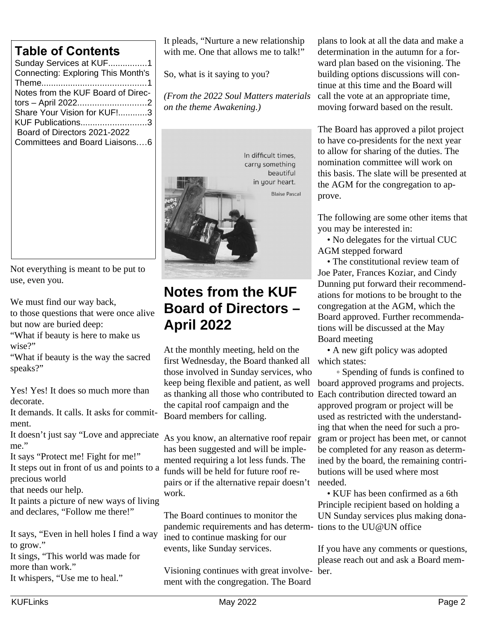| Sunday Services at KUF1            |  |  |  |
|------------------------------------|--|--|--|
| Connecting: Exploring This Month's |  |  |  |
|                                    |  |  |  |
| Notes from the KUF Board of Direc- |  |  |  |
|                                    |  |  |  |
| Share Your Vision for KUF!3        |  |  |  |
| KUF Publications3                  |  |  |  |
| Board of Directors 2021-2022       |  |  |  |
| Committees and Board Liaisons6     |  |  |  |
|                                    |  |  |  |

Not everything is meant to be put to use, even you.

We must find our way back,

to those questions that were once alive but now are buried deep:

"What if beauty is here to make us wise?"

"What if beauty is the way the sacred speaks?"

Yes! Yes! It does so much more than decorate.

It demands. It calls. It asks for commitment.

It doesn't just say "Love and appreciate me."

It says "Protect me! Fight for me!" It steps out in front of us and points to a precious world

that needs our help.

It paints a picture of new ways of living and declares, "Follow me there!"

It says, "Even in hell holes I find a way to grow."

It sings, "This world was made for more than work."

It whispers, "Use me to heal."

It pleads, "Nurture a new relationship with me. One that allows me to talk!"

So, what is it saying to you?

*(From the 2022 Soul Matters materials on the theme Awakening.)*



### <span id="page-1-0"></span>**Notes from the KUF Board of Directors – April 2022**

At the monthly meeting, held on the first Wednesday, the Board thanked all those involved in Sunday services, who keep being flexible and patient, as well as thanking all those who contributed to Each contribution directed toward an the capital roof campaign and the Board members for calling.

As you know, an alternative roof repair has been suggested and will be implemented requiring a lot less funds. The funds will be held for future roof repairs or if the alternative repair doesn't work.

The Board continues to monitor the pandemic requirements and has determ-tions to the UU@UN office ined to continue masking for our events, like Sunday services.

Visioning continues with great involve-ber. ment with the congregation. The Board

plans to look at all the data and make a determination in the autumn for a forward plan based on the visioning. The building options discussions will continue at this time and the Board will call the vote at an appropriate time, moving forward based on the result.

The Board has approved a pilot project to have co-presidents for the next year to allow for sharing of the duties. The nomination committee will work on this basis. The slate will be presented at the AGM for the congregation to approve.

The following are some other items that you may be interested in:

 • No delegates for the virtual CUC AGM stepped forward

 • The constitutional review team of Joe Pater, Frances Koziar, and Cindy Dunning put forward their recommendations for motions to be brought to the congregation at the AGM, which the Board approved. Further recommendations will be discussed at the May Board meeting

 • A new gift policy was adopted which states:

 ◦ Spending of funds is confined to board approved programs and projects. approved program or project will be used as restricted with the understanding that when the need for such a program or project has been met, or cannot be completed for any reason as determined by the board, the remaining contributions will be used where most needed.

 • KUF has been confirmed as a 6th Principle recipient based on holding a UN Sunday services plus making dona-

If you have any comments or questions, please reach out and ask a Board mem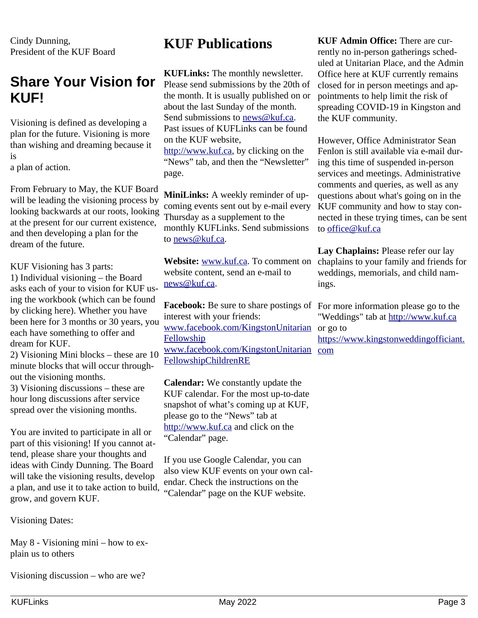Cindy Dunning, President of the KUF Board

### <span id="page-2-1"></span>**Share Your Vision for KUF!**

Visioning is defined as developing a plan for the future. Visioning is more than wishing and dreaming because it is

a plan of action.

From February to May, the KUF Board will be leading the visioning process by looking backwards at our roots, looking at the present for our current existence, and then developing a plan for the dream of the future.

KUF Visioning has 3 parts:

1) Individual visioning – the Board asks each of your to vision for KUF using the workbook (which can be found by clicking here). Whether you have been here for 3 months or 30 years, you each have something to offer and dream for KUF.

2) Visioning Mini blocks – these are 10 minute blocks that will occur throughout the visioning months.

3) Visioning discussions – these are hour long discussions after service spread over the visioning months.

You are invited to participate in all or part of this visioning! If you cannot attend, please share your thoughts and ideas with Cindy Dunning. The Board will take the visioning results, develop a plan, and use it to take action to build, grow, and govern KUF.

Visioning Dates:

May 8 - Visioning mini – how to explain us to others

Visioning discussion – who are we?

### <span id="page-2-0"></span>**KUF Publications**

**KUFLinks:** The monthly newsletter. Please send submissions by the 20th of the month. It is usually published on or about the last Sunday of the month. Send submissions to [news@kuf.ca.](mailto:news@kuf.ca) Past issues of KUFLinks can be found on the KUF website, [http://www.kuf.ca,](http://www.kuf.ca/) by clicking on the "News" tab, and then the "Newsletter" page.

**MiniLinks:** A weekly reminder of upcoming events sent out by e-mail every Thursday as a supplement to the monthly KUFLinks. Send submissions to [news@kuf.ca.](mailto:news@kuf.ca)

**Website:** [www.kuf.ca.](http://www.kuf.ca/) To comment on website content, send an e-mail to [news@kuf.ca.](mailto:news@kuf.ca)

Facebook: Be sure to share postings of For more information please go to the interest with your friends: [www.facebook.com/KingstonUnitarian](http://www.facebook.com/KingstonUnitarianFellowship) or go to **[Fellowship](http://www.facebook.com/KingstonUnitarianFellowship)** [www.facebook.com/KingstonUnitarian](https://www.facebook.com/KingstonUnitarianFellowshipChildrenRE) [com](https://www.kingstonweddingofficiant.com/) [FellowshipChildrenRE](https://www.facebook.com/KingstonUnitarianFellowshipChildrenRE)

**Calendar:** We constantly update the KUF calendar. For the most up-to-date snapshot of what's coming up at KUF, please go to the "News" tab at [http://www.kuf.ca](http://www.kuf.ca/) and click on the "Calendar" page.

If you use Google Calendar, you can also view KUF events on your own calendar. Check the instructions on the "Calendar" page on the KUF website.

**KUF Admin Office:** There are currently no in-person gatherings scheduled at Unitarian Place, and the Admin Office here at KUF currently remains closed for in person meetings and appointments to help limit the risk of spreading COVID-19 in Kingston and the KUF community.

However, Office Administrator Sean Fenlon is still available via e-mail during this time of suspended in-person services and meetings. Administrative comments and queries, as well as any questions about what's going on in the KUF community and how to stay connected in these trying times, can be sent to [office@kuf.ca](mailto:office@kuf.ca)

**Lay Chaplains:** Please refer our lay chaplains to your family and friends for weddings, memorials, and child namings.

"Weddings" tab at [http://www.kuf.ca](http://www.kuf.ca/)

[https://www.kingstonweddingofficiant.](https://www.kingstonweddingofficiant.com/)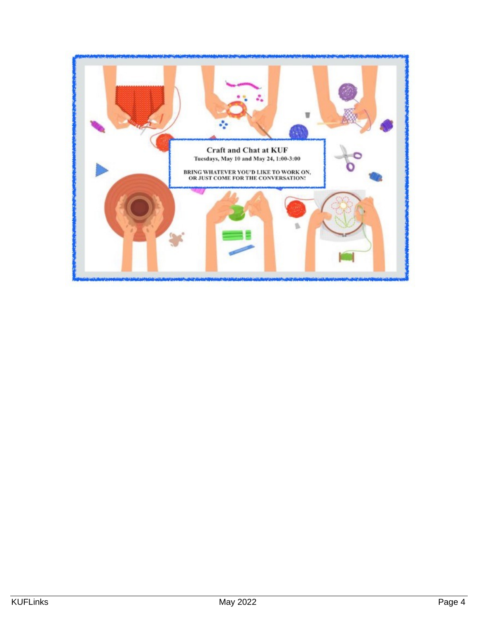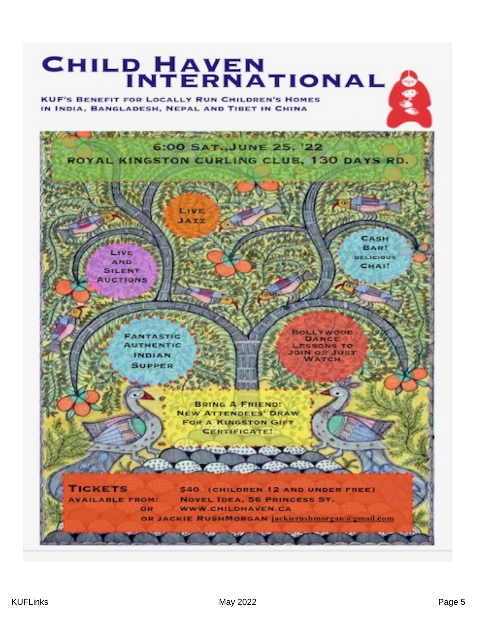